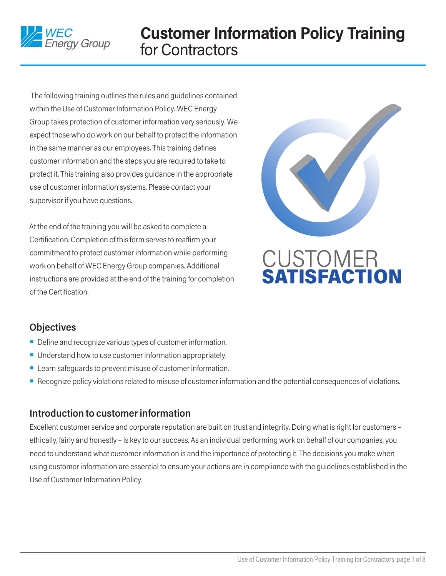

The following training outlines the rules and guidelines contained within the Use of Customer Information Policy. WEC Energy Group takes protection of customer information very seriously. We expect those who do work on our behalf to protect the information in the same manner as our employees. This training defines customer information and the steps you are required to take to protect it. This training also provides guidance in the appropriate use of customer information systems. Please contact your supervisor if you have questions.

At the end of the training you will be asked to complete a Certification. Completion of this form serves to reaffirm your commitment to protect customer information while performing work on behalf of WEC Energy Group companies. Additional instructions are provided at the end of the training for completion of the Certification.



# **CUSTOMER SATISFACTION**

# **Objectives**

- $\blacksquare$  Define and recognize various types of customer information.
- $\blacksquare$  Understand how to use customer information appropriately.
- $\blacksquare$  Learn safeguards to prevent misuse of customer information.
- <sup>n</sup> Recognize policy violations related to misuse of customer information and the potential consequences of violations.

# **Introduction to customer information**

Excellent customer service and corporate reputation are built on trust and integrity. Doing what is right for customers – ethically, fairly and honestly – is key to our success. As an individual performing work on behalf of our companies, you need to understand what customer information is and the importance of protecting it. The decisions you make when using customer information are essential to ensure your actions are in compliance with the guidelines established in the Use of Customer Information Policy.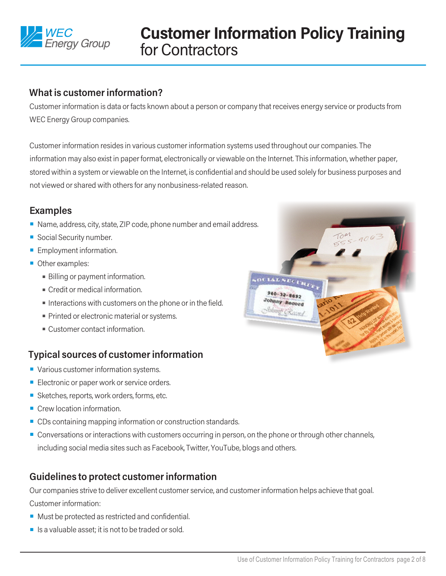

#### **What is customer information?**

Customer information is data or facts known about a person or company that receives energy service or products from WEC Energy Group companies.

Customer information resides in various customer information systems used throughout our companies. The information may also exist in paper format, electronically or viewable on the Internet. This information, whether paper, stored within a system or viewable on the Internet, is confidential and should be used solely for business purposes and not viewed or shared with others for any nonbusiness-related reason.

#### **Examples**

- Name, address, city, state, ZIP code, phone number and email address.
- Social Security number.
- **Employment information.**
- **Other examples:** 
	- Billing or payment information.
	- $\blacksquare$  Credit or medical information.
	- $\blacksquare$  Interactions with customers on the phone or in the field.
	- Printed or electronic material or systems.
	- $^{\circ}$  Customer contact information.

# **Typical sources of customer information**

- Various customer information systems.
- Electronic or paper work or service orders.
- Sketches, reports, work orders, forms, etc.
- $\blacksquare$  Crew location information.
- CDs containing mapping information or construction standards.
- **Conversations or interactions with customers occurring in person, on the phone or through other channels,** including social media sites such as Facebook, Twitter, YouTube, blogs and others.

# **Guidelines to protect customer information**

Our companies strive to deliver excellent customer service, and customer information helps achieve that goal. Customer information:

- $\blacksquare$  Must be protected as restricted and confidential.
- $\blacksquare$  Is a valuable asset; it is not to be traded or sold.

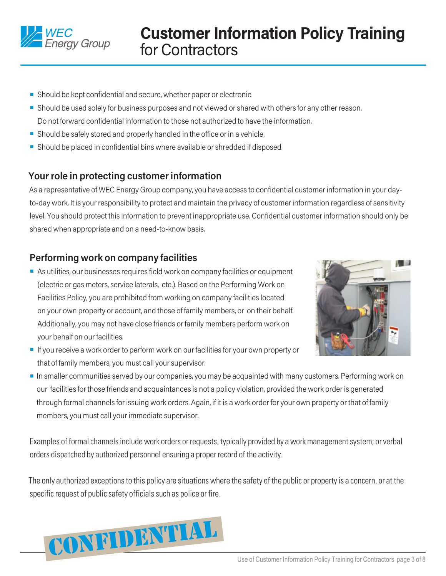

- Should be kept confidential and secure, whether paper or electronic.
- **•** Should be used solely for business purposes and not viewed or shared with others for any other reason. Do not forward confidential information to those not authorized to have the information.
- $\blacksquare$  Should be safely stored and properly handled in the office or in a vehicle.
- Should be placed in confidential bins where available or shredded if disposed.

### **Your role in protecting customer information**

As a representative of WEC Energy Group company, you have access to confidential customer information in your dayto-day work. It is your responsibility to protect and maintain the privacy of customer information regardless of sensitivity level. You should protect this information to prevent inappropriate use. Confidential customer information should only be shared when appropriate and on a need-to-know basis.

# **Performing work on company facilities**

■ As utilities, our businesses requires field work on company facilities or equipment (electric or gas meters, service laterals, etc.). Based on the Performing Work on Facilities Policy, you are prohibited from working on company facilities located on your own property or account, and those of family members, or on their behalf. Additionally, you may not have close friends or family members perform work on your behalf on our facilities.



- **If you receive a work order to perform work on our facilities for your own property or** that of family members, you must call your supervisor.
- **n** In smaller communities served by our companies, you may be acquainted with many customers. Performing work on our facilities for those friends and acquaintances is not a policy violation, provided the work order is generated through formal channels for issuing work orders. Again, if it is a work order for your own property or that of family members, you must call your immediate supervisor.

Examples of formal channels include work orders or requests, typically provided by a work management system; or verbal orders dispatched by authorized personnel ensuring a proper record of the activity.

The only authorized exceptions to this policy are situations where the safety of the public or property is a concern, or at the specific request of public safety officials such as police or fire.

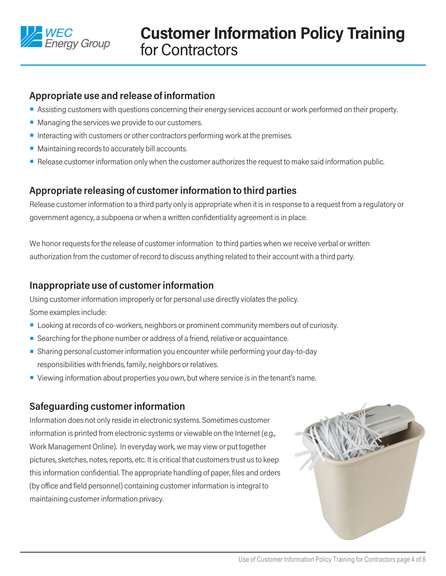

# **Appropriate use and release of information**

- **Assisting customers with questions concerning their energy services account or work performed on their property.**
- $\blacksquare$  Managing the services we provide to our customers.
- nteracting with customers or other contractors performing work at the premises.
- $\blacksquare$  Maintaining records to accurately bill accounts.
- **Release customer information only when the customer authorizes the request to make said information public.**

# **Appropriate releasing of customer information to third parties**

Release customer information to a third party only is appropriate when it is in response to a request from a regulatory or government agency, a subpoena or when a written confidentiality agreement is in place.

We honor requests for the release of customer information to third parties when we receive verbal or written authorization from the customer of record to discuss anything related to their account with a third party.

# **Inappropriate use of customer information**

Using customer information improperly or for personal use directly violates the policy. Some examples include:

- **Looking at records of co-workers, neighbors or prominent community members out of curiosity.**
- Searching for the phone number or address of a friend, relative or acquaintance.
- **EXT** Sharing personal customer information you encounter while performing your day-to-day responsibilities with friends, family, neighbors or relatives.
- **•** Viewing information about properties you own, but where service is in the tenant's name.

# **Safeguarding customer information**

Information does not only reside in electronic systems. Sometimes customer information is printed from electronic systems or viewable on the Internet (e.g., Work Management Online). In everyday work, we may view or put together pictures, sketches, notes, reports, etc. It is critical that customers trust us to keep this information confidential. The appropriate handling of paper, files and orders (by office and field personnel) containing customer information is integral to maintaining customer information privacy.

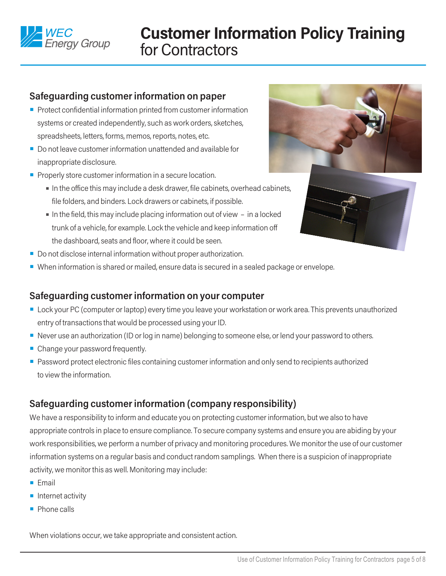

### **Safeguarding customer information on paper**

- $\blacksquare$  Protect confidential information printed from customer information systems or created independently, such as work orders, sketches, spreadsheets, letters, forms, memos, reports, notes, etc.
- Do not leave customer information unattended and available for inappropriate disclosure.
- $\blacksquare$  Properly store customer information in a secure location.
	- <sup>n</sup> In the office this may include a desk drawer, file cabinets, overhead cabinets, file folders, and binders. Lock drawers or cabinets, if possible.
	- $\blacksquare$  In the field, this may include placing information out of view  $-$  in a locked trunk of a vehicle, for example. Lock the vehicle and keep information off the dashboard, seats and floor, where it could be seen.
- $\blacksquare$  Do not disclose internal information without proper authorization.
- <sup>n</sup> When information is shared or mailed, ensure data is secured in a sealed package or envelope.

#### **Safeguarding customer information on your computer**

- **Lock your PC (computer or laptop) every time you leave your workstation or work area. This prevents unauthorized** entry of transactions that would be processed using your ID.
- Never use an authorization (ID or log in name) belonging to someone else, or lend your password to others.
- $\blacksquare$  Change your password frequently.
- **Password protect electronic files containing customer information and only send to recipients authorized** to view the information.

### **Safeguarding customer information (company responsibility)**

We have a responsibility to inform and educate you on protecting customer information, but we also to have appropriate controls in place to ensure compliance. To secure company systems and ensure you are abiding by your work responsibilities, we perform a number of privacy and monitoring procedures. We monitor the use of our customer information systems on a regular basis and conduct random samplings. When there is a suspicion of inappropriate activity, we monitor this as well. Monitoring may include:

- $F$ mail
- $\blacksquare$  Internet activity
- $\blacksquare$  Phone calls

When violations occur, we take appropriate and consistent action.



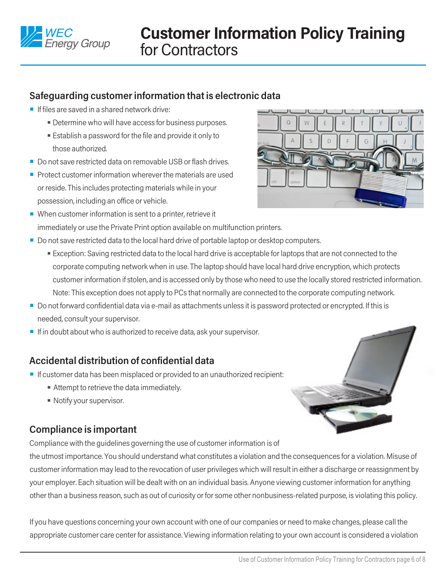

# **Safeguarding customer information that is electronic data**

- $\blacksquare$  If files are saved in a shared network drive:
	- **Determine who will have access for business purposes.**
	- **Establish a password for the file and provide it only to** those authorized.
- Do not save restricted data on removable USB or flash drives.
- $\blacksquare$  Protect customer information wherever the materials are used or reside. This includes protecting materials while in your possession, including an office or vehicle.
- $\blacksquare$  When customer information is sent to a printer, retrieve it immediately or use the Private Print option available on multifunction printers.
- Do not save restricted data to the local hard drive of portable laptop or desktop computers.
	- **Exception: Saving restricted data to the local hard drive is acceptable for laptops that are not connected to the** corporate computing network when in use. The laptop should have local hard drive encryption, which protects customer information if stolen, and is accessed only by those who need to use the locally stored restricted information. Note: This exception does not apply to PCs that normally are connected to the corporate computing network.
- Do not forward confidential data via e-mail as attachments unless it is password protected or encrypted. If this is needed, consult your supervisor.
- $\blacksquare$  If in doubt about who is authorized to receive data, ask your supervisor.

### **Accidental distribution of confidential data**

- **n** If customer data has been misplaced or provided to an unauthorized recipient:
	- **Attempt to retrieve the data immediately.**
	- Notify your supervisor.

### **Compliance is important**

Compliance with the guidelines governing the use of customer information is of

the utmost importance. You should understand what constitutes a violation and the consequences for a violation. Misuse of customer information may lead to the revocation of user privileges which will result in either a discharge or reassignment by your employer. Each situation will be dealt with on an individual basis. Anyone viewing customer information for anything other than a business reason, such as out of curiosity or for some other nonbusiness-related purpose, is violating this policy.

If you have questions concerning your own account with one of our companies or need to make changes, please call the appropriate customer care center for assistance. Viewing information relating to your own account is considered a violation

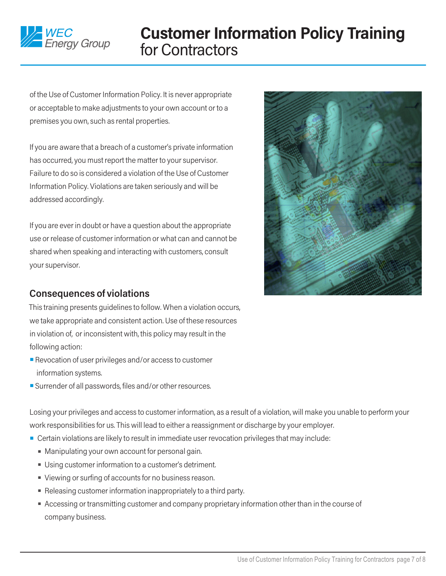

of the Use of Customer Information Policy. It is never appropriate or acceptable to make adjustments to your own account or to a premises you own, such as rental properties.

If you are aware that a breach of a customer's private information has occurred, you must report the matter to your supervisor. Failure to do so is considered a violation of the Use of Customer Information Policy. Violations are taken seriously and will be addressed accordingly.

If you are ever in doubt or have a question about the appropriate use or release of customer information or what can and cannot be shared when speaking and interacting with customers, consult your supervisor.



# **Consequences of violations**

This training presents guidelines to follow. When a violation occurs, we take appropriate and consistent action. Use of these resources in violation of, or inconsistent with, this policy may result in the following action:

- $\blacksquare$  Revocation of user privileges and/or access to customer information systems.
- Surrender of all passwords, files and/or other resources.

Losing your privileges and access to customer information, as a result of a violation, will make you unable to perform your work responsibilities for us. This will lead to either a reassignment or discharge by your employer.

- Certain violations are likely to result in immediate user revocation privileges that may include:
	- Manipulating your own account for personal gain.
	- Using customer information to a customer's detriment.
	- Viewing or surfing of accounts for no business reason.
	- **Releasing customer information inappropriately to a third party.**
	- **Accessing or transmitting customer and company proprietary information other than in the course of** company business.